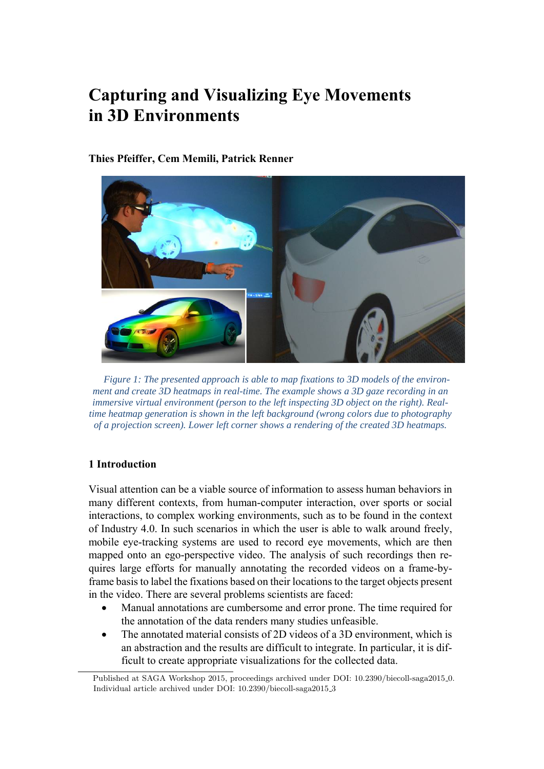# **[C](#page-0-0)apturing and Visualizing Eye Movements in 3D Environments**

## **Thies Pfeiffer, Cem Memili, Patrick Renner**



*Figure 1: The presented approach is able to map fixations to 3D models of the environment and create 3D heatmaps in real-time. The example shows a 3D gaze recording in an immersive virtual environment (person to the left inspecting 3D object on the right). Realtime heatmap generation is shown in the left background (wrong colors due to photography of a projection screen). Lower left corner shows a rendering of the created 3D heatmaps.* 

# **1 Introduction**

Visual attention can be a viable source of information to assess human behaviors in many different contexts, from human-computer interaction, over sports or social interactions, to complex working environments, such as to be found in the context of Industry 4.0. In such scenarios in which the user is able to walk around freely, mobile eye-tracking systems are used to record eye movements, which are then mapped onto an ego-perspective video. The analysis of such recordings then requires large efforts for manually annotating the recorded videos on a frame-byframe basis to label the fixations based on their locations to the target objects present in the video. There are several problems scientists are faced:

- Manual annotations are cumbersome and error prone. The time required for the annotation of the data renders many studies unfeasible.
- The annotated material consists of 2D videos of a 3D environment, which is an abstraction and the results are difficult to integrate. In particular, it is difficult to create appropriate visualizations for the collected data.

<span id="page-0-0"></span>Published at SAGA Workshop 2015, proceedings archived under DOI: 10.2390/biecoll-saga2015 0. Individual article archived under DOI: 10.2390/biecoll-saga2015 3